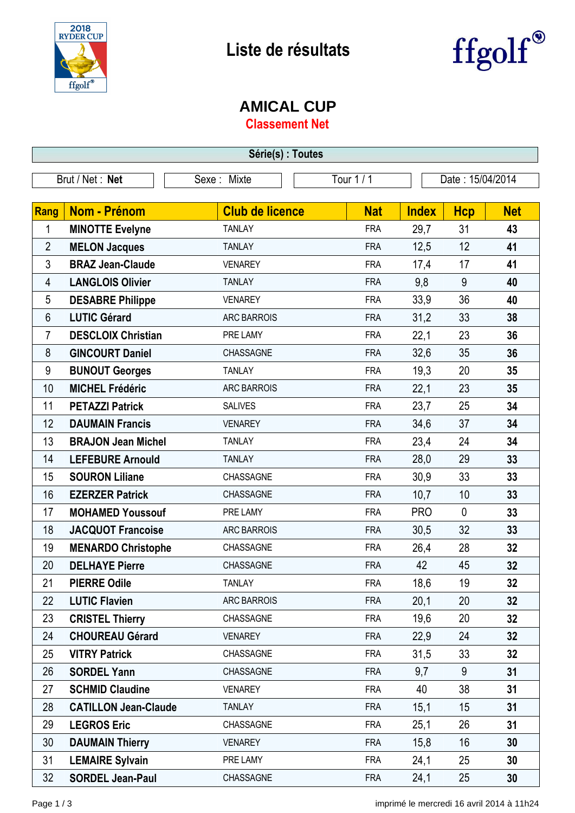



## **AMICAL CUP**

**Classement Net**

| Série(s) : Toutes |                             |                        |            |                  |             |                 |  |
|-------------------|-----------------------------|------------------------|------------|------------------|-------------|-----------------|--|
| Brut / Net: Net   |                             | Sexe: Mixte            | Tour 1 / 1 | Date: 15/04/2014 |             |                 |  |
|                   |                             |                        |            |                  |             |                 |  |
| Rang              | <b>Nom - Prénom</b>         | <b>Club de licence</b> | <b>Nat</b> | <b>Index</b>     | <b>Hcp</b>  | <b>Net</b>      |  |
| 1                 | <b>MINOTTE Evelyne</b>      | <b>TANLAY</b>          | <b>FRA</b> | 29,7             | 31          | 43              |  |
| $\overline{2}$    | <b>MELON Jacques</b>        | <b>TANLAY</b>          | <b>FRA</b> | 12,5             | 12          | 41              |  |
| 3                 | <b>BRAZ Jean-Claude</b>     | <b>VENAREY</b>         | <b>FRA</b> | 17,4             | 17          | 41              |  |
| 4                 | <b>LANGLOIS Olivier</b>     | <b>TANLAY</b>          | <b>FRA</b> | 9,8              | 9           | 40              |  |
| 5                 | <b>DESABRE Philippe</b>     | <b>VENAREY</b>         | <b>FRA</b> | 33,9             | 36          | 40              |  |
| 6                 | <b>LUTIC Gérard</b>         | <b>ARC BARROIS</b>     | <b>FRA</b> | 31,2             | 33          | 38              |  |
| 7                 | <b>DESCLOIX Christian</b>   | PRE LAMY               | <b>FRA</b> | 22,1             | 23          | 36              |  |
| 8                 | <b>GINCOURT Daniel</b>      | CHASSAGNE              | <b>FRA</b> | 32,6             | 35          | 36              |  |
| 9                 | <b>BUNOUT Georges</b>       | <b>TANLAY</b>          | <b>FRA</b> | 19,3             | 20          | 35              |  |
| 10                | <b>MICHEL Frédéric</b>      | <b>ARC BARROIS</b>     | <b>FRA</b> | 22,1             | 23          | 35              |  |
| 11                | <b>PETAZZI Patrick</b>      | <b>SALIVES</b>         | <b>FRA</b> | 23,7             | 25          | 34              |  |
| 12                | <b>DAUMAIN Francis</b>      | <b>VENAREY</b>         | <b>FRA</b> | 34,6             | 37          | 34              |  |
| 13                | <b>BRAJON Jean Michel</b>   | <b>TANLAY</b>          | <b>FRA</b> | 23,4             | 24          | 34              |  |
| 14                | <b>LEFEBURE Arnould</b>     | <b>TANLAY</b>          | <b>FRA</b> | 28,0             | 29          | 33              |  |
| 15                | <b>SOURON Liliane</b>       | CHASSAGNE              | <b>FRA</b> | 30,9             | 33          | 33              |  |
| 16                | <b>EZERZER Patrick</b>      | CHASSAGNE              | <b>FRA</b> | 10,7             | 10          | 33              |  |
| 17                | <b>MOHAMED Youssouf</b>     | PRE LAMY               | <b>FRA</b> | <b>PRO</b>       | $\mathbf 0$ | 33              |  |
| 18                | <b>JACQUOT Francoise</b>    | <b>ARC BARROIS</b>     | <b>FRA</b> | 30,5             | 32          | 33              |  |
| 19                | <b>MENARDO Christophe</b>   | CHASSAGNE              | <b>FRA</b> | 26,4             | 28          | 32              |  |
| 20                | <b>DELHAYE Pierre</b>       | CHASSAGNE              | <b>FRA</b> | 42               | 45          | 32              |  |
| 21                | <b>PIERRE Odile</b>         | <b>TANLAY</b>          | <b>FRA</b> | 18,6             | 19          | 32              |  |
| 22                | <b>LUTIC Flavien</b>        | ARC BARROIS            | <b>FRA</b> | 20,1             | 20          | 32              |  |
| 23                | <b>CRISTEL Thierry</b>      | CHASSAGNE              | <b>FRA</b> | 19,6             | 20          | 32              |  |
| 24                | <b>CHOUREAU Gérard</b>      | <b>VENAREY</b>         | <b>FRA</b> | 22,9             | 24          | 32 <sub>2</sub> |  |
| 25                | <b>VITRY Patrick</b>        | CHASSAGNE              | <b>FRA</b> | 31,5             | 33          | 32              |  |
| 26                | <b>SORDEL Yann</b>          | CHASSAGNE              | <b>FRA</b> | 9,7              | 9           | 31              |  |
| 27                | <b>SCHMID Claudine</b>      | <b>VENAREY</b>         | <b>FRA</b> | 40               | 38          | 31              |  |
| 28                | <b>CATILLON Jean-Claude</b> | <b>TANLAY</b>          | <b>FRA</b> | 15,1             | 15          | 31              |  |
| 29                | <b>LEGROS Eric</b>          | CHASSAGNE              | <b>FRA</b> | 25,1             | 26          | 31              |  |
| 30                | <b>DAUMAIN Thierry</b>      | <b>VENAREY</b>         | <b>FRA</b> | 15,8             | 16          | 30              |  |
| 31                | <b>LEMAIRE Sylvain</b>      | PRE LAMY               | <b>FRA</b> | 24,1             | 25          | 30              |  |
| 32                | <b>SORDEL Jean-Paul</b>     | CHASSAGNE              | <b>FRA</b> | 24,1             | 25          | 30              |  |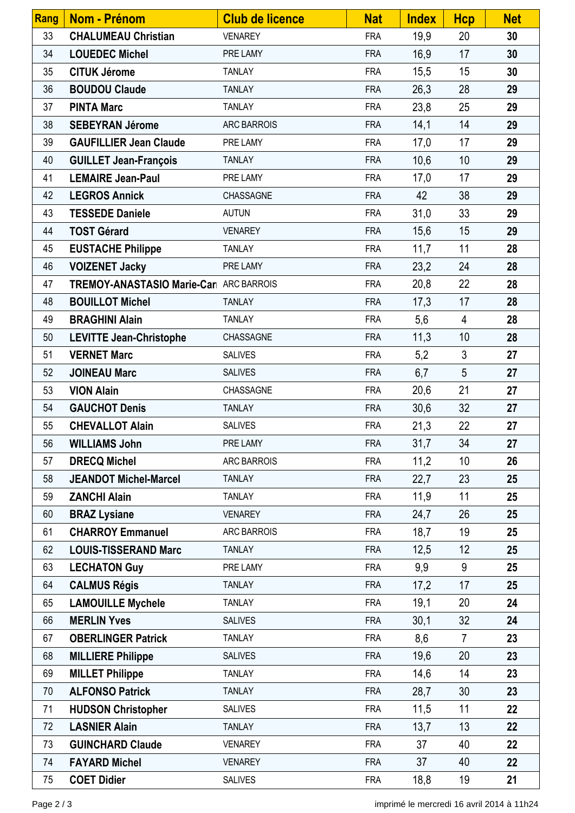| Rang | Nom - Prénom                            | <b>Club de licence</b> | <b>Nat</b> | <b>Index</b> | <b>Hcp</b>     | <b>Net</b> |
|------|-----------------------------------------|------------------------|------------|--------------|----------------|------------|
| 33   | <b>CHALUMEAU Christian</b>              | <b>VENAREY</b>         | <b>FRA</b> | 19,9         | 20             | 30         |
| 34   | <b>LOUEDEC Michel</b>                   | PRE LAMY               | <b>FRA</b> | 16,9         | 17             | 30         |
| 35   | <b>CITUK Jérome</b>                     | <b>TANLAY</b>          | <b>FRA</b> | 15,5         | 15             | 30         |
| 36   | <b>BOUDOU Claude</b>                    | <b>TANLAY</b>          | <b>FRA</b> | 26,3         | 28             | 29         |
| 37   | <b>PINTA Marc</b>                       | <b>TANLAY</b>          | <b>FRA</b> | 23,8         | 25             | 29         |
| 38   | <b>SEBEYRAN Jérome</b>                  | <b>ARC BARROIS</b>     | <b>FRA</b> | 14,1         | 14             | 29         |
| 39   | <b>GAUFILLIER Jean Claude</b>           | PRE LAMY               | <b>FRA</b> | 17,0         | 17             | 29         |
| 40   | <b>GUILLET Jean-François</b>            | <b>TANLAY</b>          | <b>FRA</b> | 10,6         | 10             | 29         |
| 41   | <b>LEMAIRE Jean-Paul</b>                | PRE LAMY               | <b>FRA</b> | 17,0         | 17             | 29         |
| 42   | <b>LEGROS Annick</b>                    | CHASSAGNE              | <b>FRA</b> | 42           | 38             | 29         |
| 43   | <b>TESSEDE Daniele</b>                  | <b>AUTUN</b>           | <b>FRA</b> | 31,0         | 33             | 29         |
| 44   | <b>TOST Gérard</b>                      | <b>VENAREY</b>         | <b>FRA</b> | 15,6         | 15             | 29         |
| 45   | <b>EUSTACHE Philippe</b>                | <b>TANLAY</b>          | <b>FRA</b> | 11,7         | 11             | 28         |
| 46   | <b>VOIZENET Jacky</b>                   | PRE LAMY               | <b>FRA</b> | 23,2         | 24             | 28         |
| 47   | TREMOY-ANASTASIO Marie-Carl ARC BARROIS |                        | <b>FRA</b> | 20,8         | 22             | 28         |
| 48   | <b>BOUILLOT Michel</b>                  | <b>TANLAY</b>          | <b>FRA</b> | 17,3         | 17             | 28         |
| 49   | <b>BRAGHINI Alain</b>                   | <b>TANLAY</b>          | <b>FRA</b> | 5,6          | $\overline{4}$ | 28         |
| 50   | <b>LEVITTE Jean-Christophe</b>          | CHASSAGNE              | <b>FRA</b> | 11,3         | 10             | 28         |
| 51   | <b>VERNET Marc</b>                      | <b>SALIVES</b>         | <b>FRA</b> | 5,2          | $\mathfrak{S}$ | 27         |
| 52   | <b>JOINEAU Marc</b>                     | <b>SALIVES</b>         | <b>FRA</b> | 6,7          | 5              | 27         |
| 53   | <b>VION Alain</b>                       | CHASSAGNE              | <b>FRA</b> | 20,6         | 21             | 27         |
| 54   | <b>GAUCHOT Denis</b>                    | <b>TANLAY</b>          | <b>FRA</b> | 30,6         | 32             | 27         |
| 55   | <b>CHEVALLOT Alain</b>                  | <b>SALIVES</b>         | <b>FRA</b> | 21,3         | 22             | 27         |
| 56   | <b>WILLIAMS John</b>                    | PRE LAMY               | <b>FRA</b> | 31,7         | 34             | 27         |
| 57   | <b>DRECQ Michel</b>                     | ARC BARROIS            | <b>FRA</b> | 11,2         | 10             | 26         |
| 58   | <b>JEANDOT Michel-Marcel</b>            | <b>TANLAY</b>          | <b>FRA</b> | 22,7         | 23             | 25         |
| 59   | <b>ZANCHI Alain</b>                     | <b>TANLAY</b>          | <b>FRA</b> | 11,9         | 11             | 25         |
| 60   | <b>BRAZ Lysiane</b>                     | <b>VENAREY</b>         | <b>FRA</b> | 24,7         | 26             | 25         |
| 61   | <b>CHARROY Emmanuel</b>                 | ARC BARROIS            | <b>FRA</b> | 18,7         | 19             | 25         |
| 62   | <b>LOUIS-TISSERAND Marc</b>             | <b>TANLAY</b>          | <b>FRA</b> | 12,5         | 12             | 25         |
| 63   | <b>LECHATON Guy</b>                     | PRE LAMY               | <b>FRA</b> | 9,9          | 9              | 25         |
| 64   | <b>CALMUS Régis</b>                     | <b>TANLAY</b>          | <b>FRA</b> | 17,2         | 17             | 25         |
| 65   | <b>LAMOUILLE Mychele</b>                | <b>TANLAY</b>          | <b>FRA</b> | 19,1         | 20             | 24         |
| 66   | <b>MERLIN Yves</b>                      | <b>SALIVES</b>         | <b>FRA</b> | 30,1         | 32             | 24         |
| 67   | <b>OBERLINGER Patrick</b>               | <b>TANLAY</b>          | <b>FRA</b> | 8,6          | $\overline{7}$ | 23         |
| 68   | <b>MILLIERE Philippe</b>                | <b>SALIVES</b>         | <b>FRA</b> | 19,6         | 20             | 23         |
| 69   | <b>MILLET Philippe</b>                  | <b>TANLAY</b>          | <b>FRA</b> | 14,6         | 14             | 23         |
| 70   | <b>ALFONSO Patrick</b>                  | <b>TANLAY</b>          | <b>FRA</b> | 28,7         | 30             | 23         |
| 71   | <b>HUDSON Christopher</b>               | <b>SALIVES</b>         | <b>FRA</b> | 11,5         | 11             | 22         |
| 72   | <b>LASNIER Alain</b>                    | <b>TANLAY</b>          | <b>FRA</b> | 13,7         | 13             | 22         |
| 73   | <b>GUINCHARD Claude</b>                 | <b>VENAREY</b>         | <b>FRA</b> | 37           | 40             | 22         |
| 74   | <b>FAYARD Michel</b>                    | <b>VENAREY</b>         | <b>FRA</b> | 37           | 40             | 22         |
| 75   | <b>COET Didier</b>                      | <b>SALIVES</b>         | <b>FRA</b> | 18,8         | 19             | 21         |